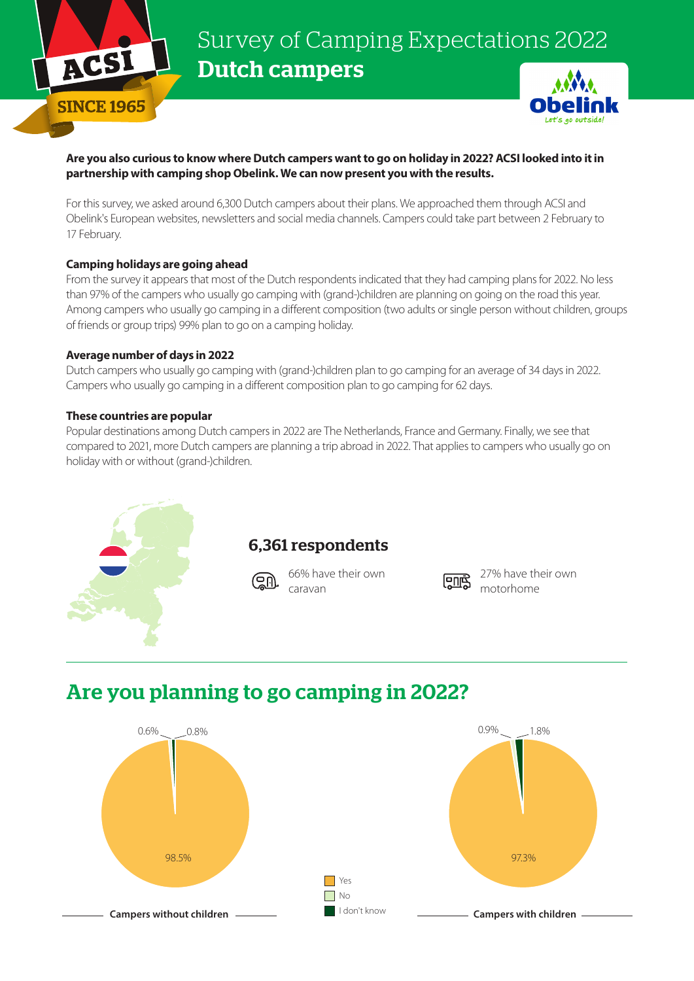

# Survey of Camping Expectations 2022 Dutch campers



### **Are you also curious to know where Dutch campers want to go on holiday in 2022? ACSI looked into it in partnership with camping shop Obelink. We can now present you with the results.**

For this survey, we asked around 6,300 Dutch campers about their plans. We approached them through ACSI and Obelink's European websites, newsletters and social media channels. Campers could take part between 2 February to 17 February.

### **Camping holidays are going ahead**

From the survey it appears that most of the Dutch respondents indicated that they had camping plans for 2022. No less than 97% of the campers who usually go camping with (grand-)children are planning on going on the road this year. Among campers who usually go camping in a different composition (two adults or single person without children, groups of friends or group trips) 99% plan to go on a camping holiday.

#### **Average number of days in 2022**

Dutch campers who usually go camping with (grand-)children plan to go camping for an average of 34 days in 2022. Campers who usually go camping in a different composition plan to go camping for 62 days.

### **These countries are popular**

Popular destinations among Dutch campers in 2022 are The Netherlands, France and Germany. Finally, we see that compared to 2021, more Dutch campers are planning a trip abroad in 2022. That applies to campers who usually go on holiday with or without (grand-)children.



### 6,361 respondents

66% have their own caravan



27% have their own motorhome

## Are you planning to go camping in 2022?